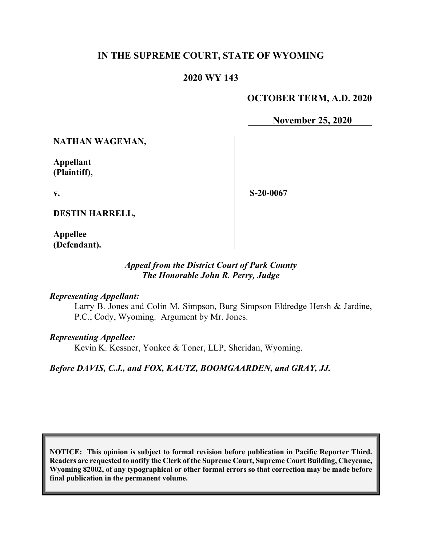# **IN THE SUPREME COURT, STATE OF WYOMING**

## **2020 WY 143**

# **OCTOBER TERM, A.D. 2020**

**November 25, 2020**

**NATHAN WAGEMAN,** 

**Appellant (Plaintiff),**

**v.**

**S-20-0067**

**DESTIN HARRELL,**

**Appellee (Defendant).**

## *Appeal from the District Court of Park County The Honorable John R. Perry, Judge*

#### *Representing Appellant:*

Larry B. Jones and Colin M. Simpson, Burg Simpson Eldredge Hersh & Jardine, P.C., Cody, Wyoming. Argument by Mr. Jones.

*Representing Appellee:*

Kevin K. Kessner, Yonkee & Toner, LLP, Sheridan, Wyoming.

*Before DAVIS, C.J., and FOX, KAUTZ, BOOMGAARDEN, and GRAY, JJ.*

**NOTICE: This opinion is subject to formal revision before publication in Pacific Reporter Third. Readers are requested to notify the Clerk of the Supreme Court, Supreme Court Building, Cheyenne, Wyoming 82002, of any typographical or other formal errors so that correction may be made before final publication in the permanent volume.**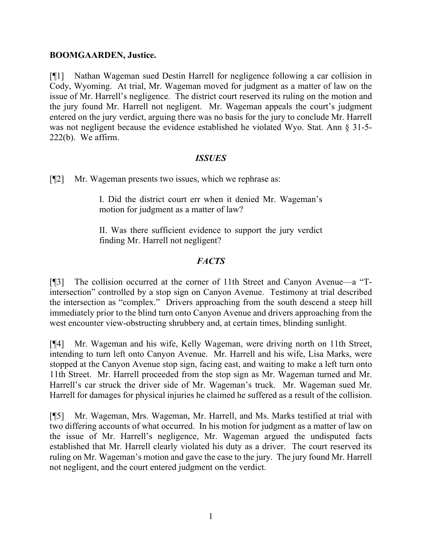### **BOOMGAARDEN, Justice.**

[¶1] Nathan Wageman sued Destin Harrell for negligence following a car collision in Cody, Wyoming. At trial, Mr. Wageman moved for judgment as a matter of law on the issue of Mr. Harrell's negligence. The district court reserved its ruling on the motion and the jury found Mr. Harrell not negligent. Mr. Wageman appeals the court's judgment entered on the jury verdict, arguing there was no basis for the jury to conclude Mr. Harrell was not negligent because the evidence established he violated Wyo. Stat. Ann § 31-5-222(b). We affirm.

## *ISSUES*

[¶2] Mr. Wageman presents two issues, which we rephrase as:

I. Did the district court err when it denied Mr. Wageman's motion for judgment as a matter of law?

II. Was there sufficient evidence to support the jury verdict finding Mr. Harrell not negligent?

# *FACTS*

[¶3] The collision occurred at the corner of 11th Street and Canyon Avenue—a "Tintersection" controlled by a stop sign on Canyon Avenue. Testimony at trial described the intersection as "complex." Drivers approaching from the south descend a steep hill immediately prior to the blind turn onto Canyon Avenue and drivers approaching from the west encounter view-obstructing shrubbery and, at certain times, blinding sunlight.

[¶4] Mr. Wageman and his wife, Kelly Wageman, were driving north on 11th Street, intending to turn left onto Canyon Avenue. Mr. Harrell and his wife, Lisa Marks, were stopped at the Canyon Avenue stop sign, facing east, and waiting to make a left turn onto 11th Street. Mr. Harrell proceeded from the stop sign as Mr. Wageman turned and Mr. Harrell's car struck the driver side of Mr. Wageman's truck. Mr. Wageman sued Mr. Harrell for damages for physical injuries he claimed he suffered as a result of the collision.

[¶5] Mr. Wageman, Mrs. Wageman, Mr. Harrell, and Ms. Marks testified at trial with two differing accounts of what occurred. In his motion for judgment as a matter of law on the issue of Mr. Harrell's negligence, Mr. Wageman argued the undisputed facts established that Mr. Harrell clearly violated his duty as a driver. The court reserved its ruling on Mr. Wageman's motion and gave the case to the jury. The jury found Mr. Harrell not negligent, and the court entered judgment on the verdict.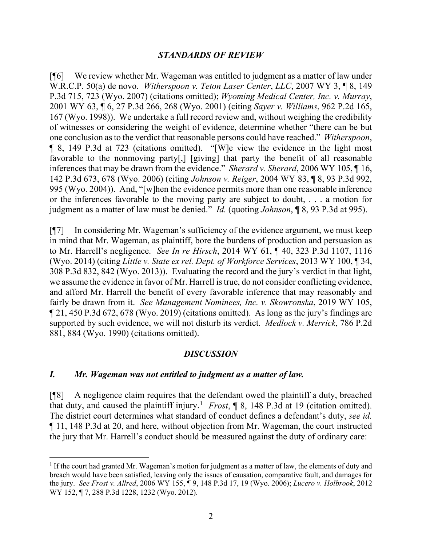### *STANDARDS OF REVIEW*

[¶6] We review whether Mr. Wageman was entitled to judgment as a matter of law under W.R.C.P. 50(a) de novo. *Witherspoon v. Teton Laser Center*, *LLC*, 2007 WY 3, ¶ 8, 149 P.3d 715, 723 (Wyo. 2007) (citations omitted); *Wyoming Medical Center, Inc. v. Murray*, 2001 WY 63, ¶ 6, 27 P.3d 266, 268 (Wyo. 2001) (citing *Sayer v. Williams*, 962 P.2d 165, 167 (Wyo. 1998)). We undertake a full record review and, without weighing the credibility of witnesses or considering the weight of evidence, determine whether "there can be but one conclusion as to the verdict that reasonable persons could have reached." *Witherspoon*, ¶ 8, 149 P.3d at 723 (citations omitted). "[W]e view the evidence in the light most favorable to the nonmoving party[,] [giving] that party the benefit of all reasonable inferences that may be drawn from the evidence." *Sherard v. Sherard*, 2006 WY 105, ¶ 16, 142 P.3d 673, 678 (Wyo. 2006) (citing *Johnson v. Reiger*, 2004 WY 83, ¶ 8, 93 P.3d 992, 995 (Wyo. 2004)). And, "[w]hen the evidence permits more than one reasonable inference or the inferences favorable to the moving party are subject to doubt, . . . a motion for judgment as a matter of law must be denied." *Id.* (quoting *Johnson*, ¶ 8, 93 P.3d at 995).

[¶7] In considering Mr. Wageman's sufficiency of the evidence argument, we must keep in mind that Mr. Wageman, as plaintiff, bore the burdens of production and persuasion as to Mr. Harrell's negligence. *See In re Hirsch*, 2014 WY 61, ¶ 40, 323 P.3d 1107, 1116 (Wyo. 2014) (citing *Little v. State ex rel. Dept. of Workforce Services*, 2013 WY 100, ¶ 34, 308 P.3d 832, 842 (Wyo. 2013)). Evaluating the record and the jury's verdict in that light, we assume the evidence in favor of Mr. Harrell is true, do not consider conflicting evidence, and afford Mr. Harrell the benefit of every favorable inference that may reasonably and fairly be drawn from it. *See Management Nominees, Inc. v. Skowronska*, 2019 WY 105, ¶ 21, 450 P.3d 672, 678 (Wyo. 2019) (citations omitted). As long as the jury's findings are supported by such evidence, we will not disturb its verdict. *Medlock v. Merrick*, 786 P.2d 881, 884 (Wyo. 1990) (citations omitted).

#### *DISCUSSION*

#### *I. Mr. Wageman was not entitled to judgment as a matter of law.*

[¶8] A negligence claim requires that the defendant owed the plaintiff a duty, breached that duty, and caused the plaintiff injury.<sup>[1](#page-2-0)</sup> *Frost*,  $\parallel$  8, 148 P.3d at 19 (citation omitted). The district court determines what standard of conduct defines a defendant's duty, *see id.* ¶ 11, 148 P.3d at 20, and here, without objection from Mr. Wageman, the court instructed the jury that Mr. Harrell's conduct should be measured against the duty of ordinary care:

<span id="page-2-0"></span><sup>&</sup>lt;sup>1</sup> If the court had granted Mr. Wageman's motion for judgment as a matter of law, the elements of duty and breach would have been satisfied, leaving only the issues of causation, comparative fault, and damages for the jury. *See Frost v. Allred*, 2006 WY 155, ¶ 9, 148 P.3d 17, 19 (Wyo. 2006); *Lucero v. Holbrook*, 2012 WY 152, ¶ 7, 288 P.3d 1228, 1232 (Wyo. 2012).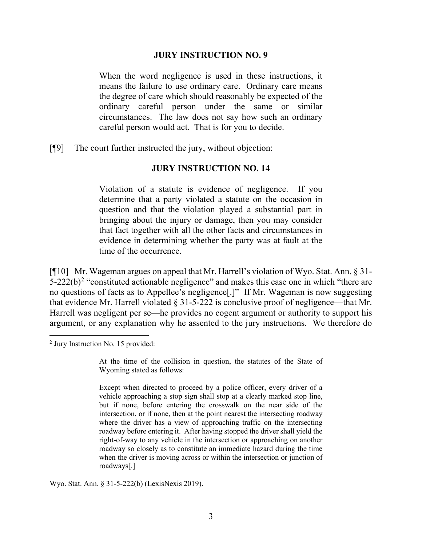#### **JURY INSTRUCTION NO. 9**

When the word negligence is used in these instructions, it means the failure to use ordinary care. Ordinary care means the degree of care which should reasonably be expected of the ordinary careful person under the same or similar circumstances. The law does not say how such an ordinary careful person would act. That is for you to decide.

[¶9] The court further instructed the jury, without objection:

#### **JURY INSTRUCTION NO. 14**

Violation of a statute is evidence of negligence. If you determine that a party violated a statute on the occasion in question and that the violation played a substantial part in bringing about the injury or damage, then you may consider that fact together with all the other facts and circumstances in evidence in determining whether the party was at fault at the time of the occurrence.

[¶10] Mr. Wageman argues on appeal that Mr. Harrell's violation of Wyo. Stat. Ann. § 31-  $5-222(b)^2$  $5-222(b)^2$  $5-222(b)^2$  "constituted actionable negligence" and makes this case one in which "there are no questions of facts as to Appellee's negligence[.]" If Mr. Wageman is now suggesting that evidence Mr. Harrell violated § 31-5-222 is conclusive proof of negligence—that Mr. Harrell was negligent per se—he provides no cogent argument or authority to support his argument, or any explanation why he assented to the jury instructions. We therefore do

Wyo. Stat. Ann. § 31-5-222(b) (LexisNexis 2019).

<span id="page-3-0"></span><sup>2</sup> Jury Instruction No. 15 provided:

At the time of the collision in question, the statutes of the State of Wyoming stated as follows:

Except when directed to proceed by a police officer, every driver of a vehicle approaching a stop sign shall stop at a clearly marked stop line, but if none, before entering the crosswalk on the near side of the intersection, or if none, then at the point nearest the intersecting roadway where the driver has a view of approaching traffic on the intersecting roadway before entering it. After having stopped the driver shall yield the right-of-way to any vehicle in the intersection or approaching on another roadway so closely as to constitute an immediate hazard during the time when the driver is moving across or within the intersection or junction of roadways[.]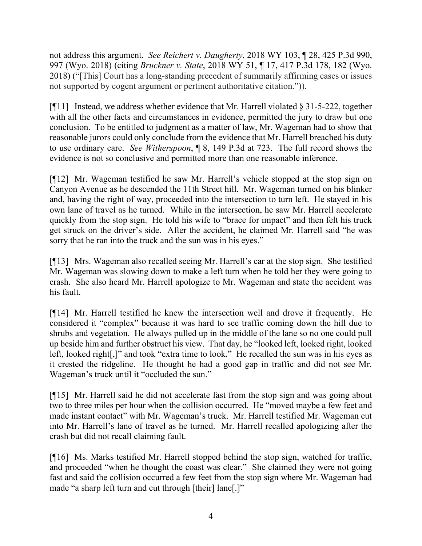not address this argument. *See Reichert v. Daugherty*, 2018 WY 103, ¶ 28, 425 P.3d 990, 997 (Wyo. 2018) (citing *Bruckner v. State*, 2018 WY 51, ¶ 17, 417 P.3d 178, 182 (Wyo. 2018) ("[This] Court has a long-standing precedent of summarily affirming cases or issues not supported by cogent argument or pertinent authoritative citation.")).

[ $[$ [11] Instead, we address whether evidence that Mr. Harrell violated  $\S 31$ -5-222, together with all the other facts and circumstances in evidence, permitted the jury to draw but one conclusion. To be entitled to judgment as a matter of law, Mr. Wageman had to show that reasonable jurors could only conclude from the evidence that Mr. Harrell breached his duty to use ordinary care. *See Witherspoon*, ¶ 8, 149 P.3d at 723. The full record shows the evidence is not so conclusive and permitted more than one reasonable inference.

[¶12] Mr. Wageman testified he saw Mr. Harrell's vehicle stopped at the stop sign on Canyon Avenue as he descended the 11th Street hill. Mr. Wageman turned on his blinker and, having the right of way, proceeded into the intersection to turn left. He stayed in his own lane of travel as he turned. While in the intersection, he saw Mr. Harrell accelerate quickly from the stop sign. He told his wife to "brace for impact" and then felt his truck get struck on the driver's side. After the accident, he claimed Mr. Harrell said "he was sorry that he ran into the truck and the sun was in his eyes."

[¶13] Mrs. Wageman also recalled seeing Mr. Harrell's car at the stop sign. She testified Mr. Wageman was slowing down to make a left turn when he told her they were going to crash. She also heard Mr. Harrell apologize to Mr. Wageman and state the accident was his fault.

[¶14] Mr. Harrell testified he knew the intersection well and drove it frequently. He considered it "complex" because it was hard to see traffic coming down the hill due to shrubs and vegetation. He always pulled up in the middle of the lane so no one could pull up beside him and further obstruct his view. That day, he "looked left, looked right, looked left, looked right[,]" and took "extra time to look." He recalled the sun was in his eyes as it crested the ridgeline. He thought he had a good gap in traffic and did not see Mr. Wageman's truck until it "occluded the sun."

[¶15] Mr. Harrell said he did not accelerate fast from the stop sign and was going about two to three miles per hour when the collision occurred. He "moved maybe a few feet and made instant contact" with Mr. Wageman's truck. Mr. Harrell testified Mr. Wageman cut into Mr. Harrell's lane of travel as he turned. Mr. Harrell recalled apologizing after the crash but did not recall claiming fault.

[¶16] Ms. Marks testified Mr. Harrell stopped behind the stop sign, watched for traffic, and proceeded "when he thought the coast was clear." She claimed they were not going fast and said the collision occurred a few feet from the stop sign where Mr. Wageman had made "a sharp left turn and cut through [their] lane[.]"